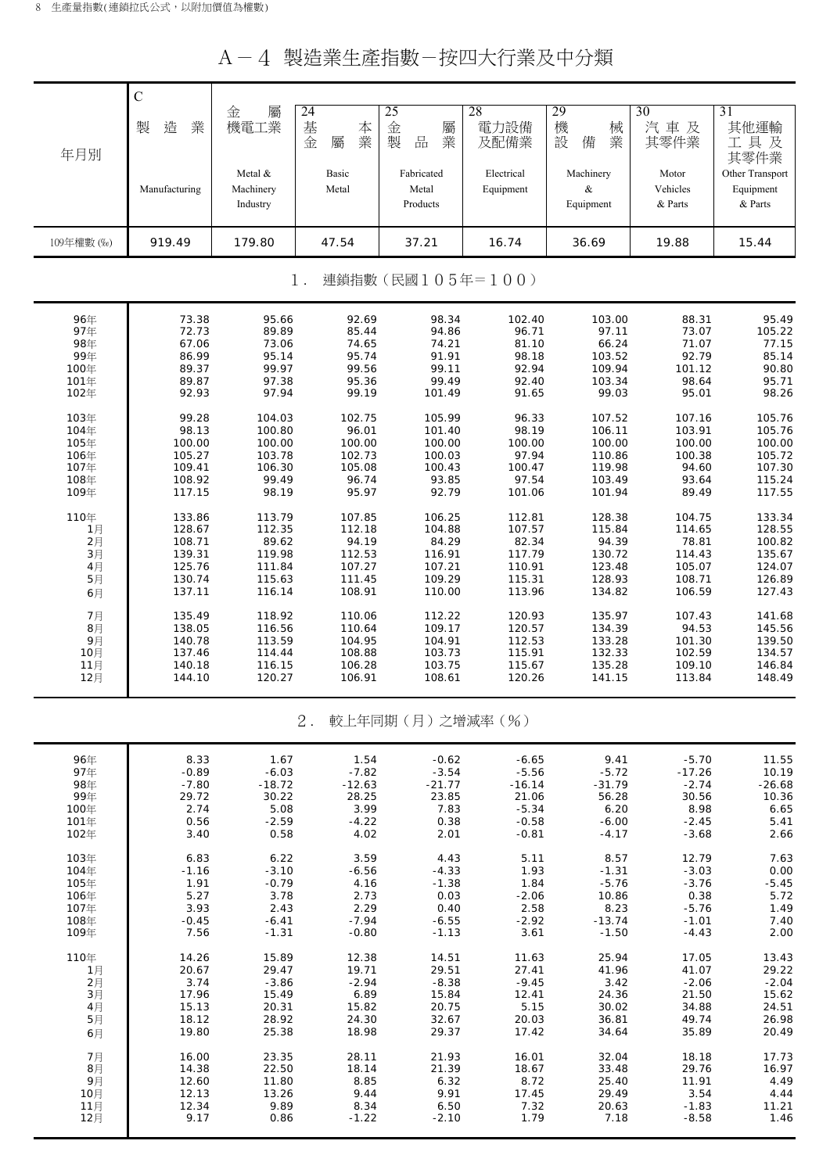| A-4 製造業生產指數-按四大行業及中分類 |  |
|-----------------------|--|
|-----------------------|--|

|            | $\mathcal{C}$ |                                  |                             |                                 |                         |                             |                              |                                         |
|------------|---------------|----------------------------------|-----------------------------|---------------------------------|-------------------------|-----------------------------|------------------------------|-----------------------------------------|
| 年月別        | 業<br>製<br>造   | 屬<br>金<br>機電工業                   | 24<br>基<br>本<br>業<br>金<br>屬 | 25<br>金<br>屬<br>製<br>品<br>業     | 28<br>電力設備<br>及配備業      | 29<br>機<br>械<br>設<br>備<br>業 | 30<br>汽車及<br>其零件業            | 31<br>其他運輸<br>工具及<br>其零件業               |
|            | Manufacturing | Metal &<br>Machinery<br>Industry | Basic<br>Metal              | Fabricated<br>Metal<br>Products | Electrical<br>Equipment | Machinery<br>&<br>Equipment | Motor<br>Vehicles<br>& Parts | Other Transport<br>Equipment<br>& Parts |
| 109年權數 (‰) | 919.49        | 179.80                           | 47.54                       | 37.21                           | 16.74                   | 36.69                       | 19.88                        | 15.44                                   |
|            |               |                                  | $1$ .                       | 連鎖指數(民國105年=100)                |                         |                             |                              |                                         |
| 96年        | 73.38         | 95.66                            | 92.69                       | 98.34                           | 102.40                  | 103.00                      | 88.31                        | 95.49                                   |
| 97年        | 72.73         | 89.89                            | 85.44                       | 94.86                           | 96.71                   | 97.11                       | 73.07                        | 105.22                                  |
| 98年        | 67.06         | 73.06                            | 74.65                       | 74.21                           | 81.10                   | 66.24                       | 71.07                        | 77.15                                   |
| 99年        | 86.99         | 95.14                            | 95.74                       | 91.91                           | 98.18                   | 103.52                      | 92.79                        | 85.14                                   |
| 100年       | 89.37         | 99.97                            | 99.56                       | 99.11                           | 92.94                   | 109.94                      | 101.12                       | 90.80                                   |
| 101年       | 89.87         | 97.38                            | 95.36                       | 99.49                           | 92.40                   | 103.34                      | 98.64                        | 95.71                                   |
| 102年       | 92.93         | 97.94                            | 99.19                       | 101.49                          | 91.65                   | 99.03                       | 95.01                        | 98.26                                   |
| 103年       | 99.28         | 104.03                           | 102.75                      | 105.99                          | 96.33                   | 107.52                      | 107.16                       | 105.76                                  |
| 104年       | 98.13         | 100.80                           | 96.01                       | 101.40                          | 98.19                   | 106.11                      | 103.91                       | 105.76                                  |
| 105年       | 100.00        | 100.00                           | 100.00                      | 100.00                          | 100.00                  | 100.00                      | 100.00                       | 100.00                                  |
| 106年       | 105.27        | 103.78                           | 102.73                      | 100.03                          | 97.94                   | 110.86                      | 100.38                       | 105.72                                  |
| 107年       | 109.41        | 106.30                           | 105.08                      | 100.43                          | 100.47                  | 119.98                      | 94.60                        | 107.30                                  |
| 108年       | 108.92        | 99.49                            | 96.74                       | 93.85                           | 97.54                   | 103.49                      | 93.64                        | 115.24                                  |
| 109年       | 117.15        | 98.19                            | 95.97                       | 92.79                           | 101.06                  | 101.94                      | 89.49                        | 117.55                                  |
| 110年       | 133.86        | 113.79                           | 107.85                      | 106.25                          | 112.81                  | 128.38                      | 104.75                       | 133.34                                  |
| 1月         | 128.67        | 112.35                           | 112.18                      | 104.88                          | 107.57                  | 115.84                      | 114.65                       | 128.55                                  |
| 2月         | 108.71        | 89.62                            | 94.19                       | 84.29                           | 82.34                   | 94.39                       | 78.81                        | 100.82                                  |
| 3月         | 139.31        | 119.98                           | 112.53                      | 116.91                          | 117.79                  | 130.72                      | 114.43                       | 135.67                                  |
| 4月         | 125.76        | 111.84                           | 107.27                      | 107.21                          | 110.91                  | 123.48                      | 105.07                       | 124.07                                  |
| 5月         | 130.74        | 115.63                           | 111.45                      | 109.29                          | 115.31                  | 128.93                      | 108.71                       | 126.89                                  |
| 6月         | 137.11        | 116.14                           | 108.91                      | 110.00                          | 113.96                  | 134.82                      | 106.59                       | 127.43                                  |
| 7月         | 135.49        | 118.92                           | 110.06                      | 112.22                          | 120.93                  | 135.97                      | 107.43                       | 141.68                                  |
| 8月         | 138.05        | 116.56                           | 110.64                      | 109.17                          | 120.57                  | 134.39                      | 94.53                        | 145.56                                  |
| 9月         | 140.78        | 113.59                           | 104.95                      | 104.91                          | 112.53                  | 133.28                      | 101.30                       | 139.50                                  |
| 10月        | 137.46        | 114.44                           | 108.88                      | 103.73                          | 115.91                  | 132.33                      | 102.59                       | 134.57                                  |
| 11月        | 140.18        | 116.15                           | 106.28                      | 103.75                          | 115.67                  | 135.28                      | 109.10                       | 146.84                                  |
| 12月        | 144.10        | 120.27                           | 106.91                      | 108.61                          | 120.26                  | 141.15                      | 113.84                       | 148.49                                  |
|            |               |                                  | $2$ .                       | 較上年同期(月)之增減率(%)                 |                         |                             |                              |                                         |
| 96年        | 8.33          | 1.67                             | 1.54                        | $-0.62$                         | $-6.65$                 | 9.41                        | $-5.70$                      | 11.55                                   |
| 97年        | $-0.89$       | $-6.03$                          | $-7.82$                     | $-3.54$                         | $-5.56$                 | $-5.72$                     | $-17.26$                     | 10.19                                   |
| 98年        | $-7.80$       | $-18.72$                         | $-12.63$                    | $-21.77$                        | $-16.14$                | $-31.79$                    | $-2.74$                      | $-26.68$                                |
| 99年        | 29.72         | 30.22                            | 28.25                       | 23.85                           | 21.06                   | 56.28                       | 30.56                        | 10.36                                   |
| 100年       | 2.74          | 5.08                             | 3.99                        | 7.83                            | $-5.34$                 | 6.20                        | 8.98                         | 6.65                                    |
| 101年       | 0.56          | $-2.59$                          | $-4.22$                     | 0.38                            | $-0.58$                 | $-6.00$                     | $-2.45$                      | 5.41                                    |
| 102年       | 3.40          | 0.58                             | 4.02                        | 2.01                            | $-0.81$                 | $-4.17$                     | $-3.68$                      | 2.66                                    |
| 103年       | 6.83          | 6.22                             | 3.59                        | 4.43                            | 5.11                    | 8.57                        | 12.79                        | 7.63                                    |
| 104年       | $-1.16$       | $-3.10$                          | $-6.56$                     | $-4.33$                         | 1.93                    | $-1.31$                     | $-3.03$                      | 0.00                                    |
| 105年       | 1.91          | $-0.79$                          | 4.16                        | $-1.38$                         | 1.84                    | $-5.76$                     | $-3.76$                      | $-5.45$                                 |
| 106年       | 5.27          | 3.78                             | 2.73                        | 0.03                            | $-2.06$                 | 10.86                       | 0.38                         | 5.72                                    |
| 107年       | 3.93          | 2.43                             | 2.29                        | 0.40                            | 2.58                    | 8.23                        | $-5.76$                      | 1.49                                    |
| 108年       | $-0.45$       | $-6.41$                          | $-7.94$                     | $-6.55$                         | $-2.92$                 | $-13.74$                    | $-1.01$                      | 7.40                                    |
| 109年       | 7.56          | $-1.31$                          | $-0.80$                     | $-1.13$                         | 3.61                    | $-1.50$                     | $-4.43$                      | 2.00                                    |
| 110年       | 14.26         | 15.89                            | 12.38                       | 14.51                           | 11.63                   | 25.94                       | 17.05                        | 13.43                                   |
| 1月         | 20.67         | 29.47                            | 19.71                       | 29.51                           | 27.41                   | 41.96                       | 41.07                        | 29.22                                   |
| 2月         | 3.74          | $-3.86$                          | $-2.94$                     | $-8.38$                         | $-9.45$                 | 3.42                        | $-2.06$                      | $-2.04$                                 |
| 3月         | 17.96         | 15.49                            | 6.89                        | 15.84                           | 12.41                   | 24.36                       | 21.50                        | 15.62                                   |
| 4月         | 15.13         | 20.31                            | 15.82                       | 20.75                           | 5.15                    | 30.02                       | 34.88                        | 24.51                                   |
| 5月         | 18.12         | 28.92                            | 24.30                       | 32.67                           | 20.03                   | 36.81                       | 49.74                        | 26.98                                   |
| 6月         | 19.80         | 25.38                            | 18.98                       | 29.37                           | 17.42                   | 34.64                       | 35.89                        | 20.49                                   |
| 7月         | 16.00         | 23.35                            | 28.11                       | 21.93                           | 16.01                   | 32.04                       | 18.18                        | 17.73                                   |
| 8月         | 14.38         | 22.50                            | 18.14                       | 21.39                           | 18.67                   | 33.48                       | 29.76                        | 16.97                                   |
| 9月         | 12.60         | 11.80                            | 8.85                        | 6.32                            | 8.72                    | 25.40                       | 11.91                        | 4.49                                    |
| 10月        | 12.13         | 13.26                            | 9.44                        | 9.91                            | 17.45                   | 29.49                       | 3.54                         | 4.44                                    |
| 11月        | 12.34         | 9.89                             | 8.34                        | 6.50                            | 7.32                    | 20.63                       | $-1.83$                      | 11.21                                   |
| 12月        | 9.17          | 0.86                             | $-1.22$                     | $-2.10$                         | 1.79                    | 7.18                        | $-8.58$                      | 1.46                                    |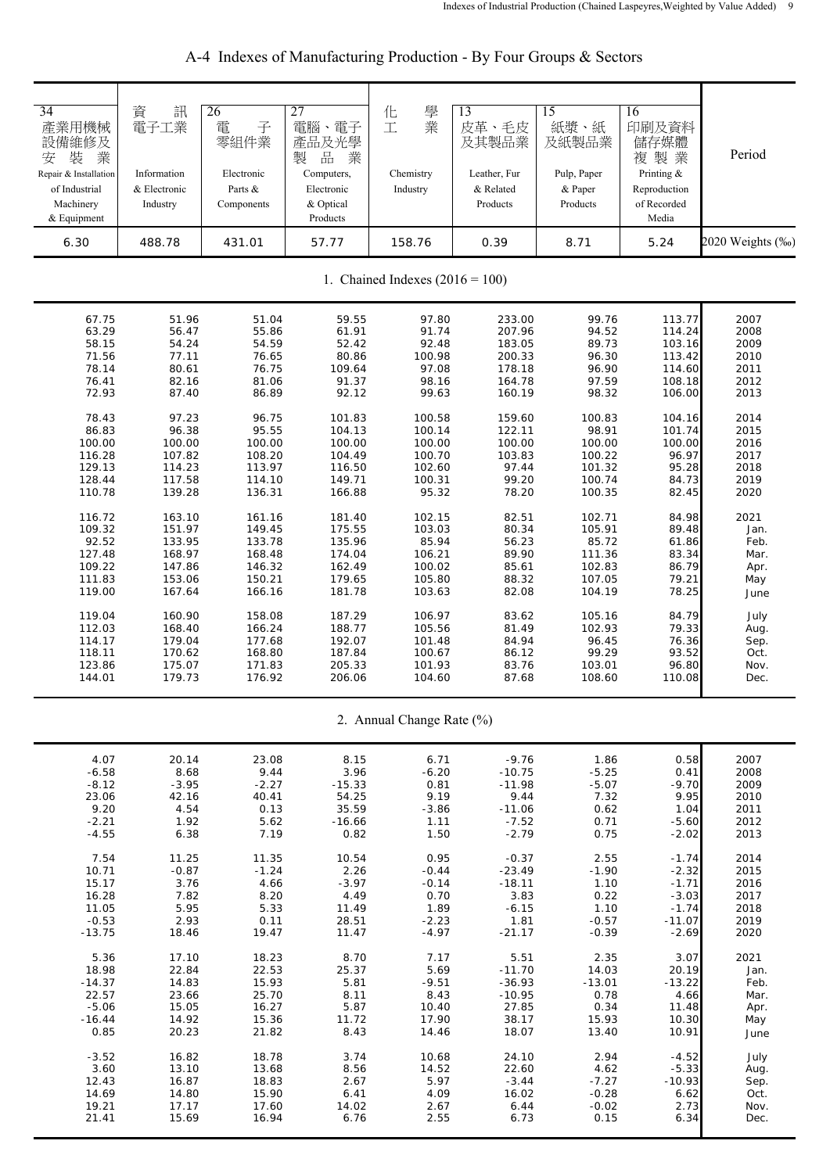| 34<br>產業用機械<br>設備維修及<br>装<br>業<br>安<br>Repair & Installation<br>of Industrial<br>Machinery<br>& Equipment | 資<br>訊<br>電子工業<br>Information<br>& Electronic<br>Industry | 26<br>子<br>電<br>零組件業<br>Electronic<br>Parts &<br>Components | 27<br>電腦、電子<br>產品及光學<br>品<br>製<br>業<br>Computers,<br>Electronic<br>& Optical<br>Products | 學<br>化<br>業<br>工<br>Chemistry<br>Industry | 13<br>皮革、毛皮<br>及其製品業<br>Leather, Fur<br>& Related<br>Products | 15<br>紙漿、紙<br>及紙製品業<br>Pulp, Paper<br>& Paper<br>Products | 16<br>印刷及資料<br>儲存媒體<br>複製業<br>Printing &<br>Reproduction<br>of Recorded<br>Media | Period           |
|-----------------------------------------------------------------------------------------------------------|-----------------------------------------------------------|-------------------------------------------------------------|------------------------------------------------------------------------------------------|-------------------------------------------|---------------------------------------------------------------|-----------------------------------------------------------|----------------------------------------------------------------------------------|------------------|
| 6.30                                                                                                      | 488.78                                                    | 431.01                                                      | 57.77                                                                                    | 158.76                                    | 0.39                                                          | 8.71                                                      | 5.24                                                                             | 2020 Weights (‰) |
|                                                                                                           |                                                           |                                                             |                                                                                          | 1. Chained Indexes $(2016 = 100)$         |                                                               |                                                           |                                                                                  |                  |
| 67.75                                                                                                     | 51.96                                                     | 51.04                                                       | 59.55                                                                                    | 97.80                                     | 233.00                                                        | 99.76                                                     | 113.77                                                                           | 2007             |
| 63.29                                                                                                     | 56.47                                                     | 55.86                                                       | 61.91                                                                                    | 91.74                                     | 207.96                                                        | 94.52                                                     | 114.24                                                                           | 2008             |
| 58.15                                                                                                     | 54.24                                                     | 54.59                                                       | 52.42                                                                                    | 92.48                                     | 183.05                                                        | 89.73                                                     | 103.16                                                                           | 2009             |
| 71.56                                                                                                     | 77.11                                                     | 76.65                                                       | 80.86                                                                                    | 100.98                                    | 200.33                                                        | 96.30                                                     | 113.42                                                                           | 2010             |
| 78.14                                                                                                     | 80.61                                                     | 76.75                                                       | 109.64                                                                                   | 97.08                                     | 178.18                                                        | 96.90                                                     | 114.60                                                                           | 2011             |
| 76.41                                                                                                     | 82.16                                                     | 81.06                                                       | 91.37                                                                                    | 98.16                                     | 164.78                                                        | 97.59                                                     | 108.18                                                                           | 2012             |
| 72.93                                                                                                     | 87.40                                                     | 86.89                                                       | 92.12                                                                                    | 99.63                                     | 160.19                                                        | 98.32                                                     | 106.00                                                                           | 2013             |
| 78.43                                                                                                     | 97.23                                                     | 96.75                                                       | 101.83                                                                                   | 100.58                                    | 159.60                                                        | 100.83                                                    | 104.16                                                                           | 2014             |
| 86.83                                                                                                     | 96.38                                                     | 95.55                                                       | 104.13                                                                                   | 100.14                                    | 122.11                                                        | 98.91                                                     | 101.74                                                                           | 2015             |
| 100.00                                                                                                    | 100.00                                                    | 100.00                                                      | 100.00                                                                                   | 100.00                                    | 100.00                                                        | 100.00                                                    | 100.00                                                                           | 2016             |
| 116.28                                                                                                    | 107.82                                                    | 108.20                                                      | 104.49                                                                                   | 100.70                                    | 103.83                                                        | 100.22                                                    | 96.97                                                                            | 2017             |
| 129.13                                                                                                    | 114.23                                                    | 113.97                                                      | 116.50                                                                                   | 102.60                                    | 97.44                                                         | 101.32                                                    | 95.28                                                                            | 2018             |
| 128.44                                                                                                    | 117.58                                                    | 114.10                                                      | 149.71                                                                                   | 100.31                                    | 99.20                                                         | 100.74                                                    | 84.73                                                                            | 2019             |
| 110.78                                                                                                    | 139.28                                                    | 136.31                                                      | 166.88                                                                                   | 95.32                                     | 78.20                                                         | 100.35                                                    | 82.45                                                                            | 2020             |
| 116.72                                                                                                    | 163.10                                                    | 161.16                                                      | 181.40                                                                                   | 102.15                                    | 82.51                                                         | 102.71                                                    | 84.98                                                                            | 2021             |
| 109.32                                                                                                    | 151.97                                                    | 149.45                                                      | 175.55                                                                                   | 103.03                                    | 80.34                                                         | 105.91                                                    | 89.48                                                                            | Jan.             |
| 92.52                                                                                                     | 133.95                                                    | 133.78                                                      | 135.96                                                                                   | 85.94                                     | 56.23                                                         | 85.72                                                     | 61.86                                                                            | Feb.             |
| 127.48                                                                                                    | 168.97                                                    | 168.48                                                      | 174.04                                                                                   | 106.21                                    | 89.90                                                         | 111.36                                                    | 83.34                                                                            | Mar.             |
| 109.22                                                                                                    | 147.86                                                    | 146.32                                                      | 162.49                                                                                   | 100.02                                    | 85.61                                                         | 102.83                                                    | 86.79                                                                            | Apr.             |
| 111.83                                                                                                    | 153.06                                                    | 150.21                                                      | 179.65                                                                                   | 105.80                                    | 88.32                                                         | 107.05                                                    | 79.21                                                                            | May              |
| 119.00                                                                                                    | 167.64                                                    | 166.16                                                      | 181.78                                                                                   | 103.63                                    | 82.08                                                         | 104.19                                                    | 78.25                                                                            | June             |
| 119.04                                                                                                    | 160.90                                                    | 158.08                                                      | 187.29                                                                                   | 106.97                                    | 83.62                                                         | 105.16                                                    | 84.79                                                                            | July             |
| 112.03                                                                                                    | 168.40                                                    | 166.24                                                      | 188.77                                                                                   | 105.56                                    | 81.49                                                         | 102.93                                                    | 79.33                                                                            | Aug.             |
| 114.17                                                                                                    | 179.04                                                    | 177.68                                                      | 192.07                                                                                   | 101.48                                    | 84.94                                                         | 96.45                                                     | 76.36                                                                            | Sep.             |
| 118.11                                                                                                    | 170.62                                                    | 168.80                                                      | 187.84                                                                                   | 100.67                                    | 86.12                                                         | 99.29                                                     | 93.52                                                                            | Oct.             |
| 123.86                                                                                                    | 175.07                                                    | 171.83                                                      | 205.33                                                                                   | 101.93                                    | 83.76                                                         | 103.01                                                    | 96.80                                                                            | Nov.             |
| 144.01                                                                                                    | 179.73                                                    | 176.92                                                      | 206.06                                                                                   | 104.60                                    | 87.68                                                         | 108.60                                                    | 110.08                                                                           | Dec.             |
|                                                                                                           |                                                           |                                                             |                                                                                          | 2. Annual Change Rate (%)                 |                                                               |                                                           |                                                                                  |                  |
| 4.07                                                                                                      | 20.14                                                     | 23.08                                                       | 8.15                                                                                     | 6.71                                      | $-9.76$                                                       | 1.86                                                      | 0.58                                                                             | 2007             |
| $-6.58$                                                                                                   | 8.68                                                      | 9.44                                                        | 3.96                                                                                     | $-6.20$                                   | $-10.75$                                                      | $-5.25$                                                   | 0.41                                                                             | 2008             |
| $-8.12$                                                                                                   | $-3.95$                                                   | $-2.27$                                                     | $-15.33$                                                                                 | 0.81                                      | $-11.98$                                                      | $-5.07$                                                   | $-9.70$                                                                          | 2009             |
| 23.06                                                                                                     | 42.16                                                     | 40.41                                                       | 54.25                                                                                    | 9.19                                      | 9.44                                                          | 7.32                                                      | 9.95                                                                             | 2010             |
| 9.20                                                                                                      | 4.54                                                      | 0.13                                                        | 35.59                                                                                    | $-3.86$                                   | $-11.06$                                                      | 0.62                                                      | 1.04                                                                             | 2011             |
| $-2.21$                                                                                                   | 1.92                                                      | 5.62                                                        | $-16.66$                                                                                 | 1.11                                      | $-7.52$                                                       | 0.71                                                      | $-5.60$                                                                          | 2012             |
| $-4.55$                                                                                                   | 6.38                                                      | 7.19                                                        | 0.82                                                                                     | 1.50                                      | $-2.79$                                                       | 0.75                                                      | $-2.02$                                                                          | 2013             |
| 7.54                                                                                                      | 11.25                                                     | 11.35                                                       | 10.54                                                                                    | 0.95                                      | $-0.37$                                                       | 2.55                                                      | $-1.74$                                                                          | 2014             |
| 10.71                                                                                                     | $-0.87$                                                   | $-1.24$                                                     | 2.26                                                                                     | $-0.44$                                   | $-23.49$                                                      | $-1.90$                                                   | $-2.32$                                                                          | 2015             |
| 15.17                                                                                                     | 3.76                                                      | 4.66                                                        | $-3.97$                                                                                  | $-0.14$                                   | $-18.11$                                                      | 1.10                                                      | $-1.71$                                                                          | 2016             |
| 16.28                                                                                                     | 7.82                                                      | 8.20                                                        | 4.49                                                                                     | 0.70                                      | 3.83                                                          | 0.22                                                      | $-3.03$                                                                          | 2017             |
| 11.05                                                                                                     | 5.95                                                      | 5.33                                                        | 11.49                                                                                    | 1.89                                      | $-6.15$                                                       | 1.10                                                      | $-1.74$                                                                          | 2018             |
| $-0.53$                                                                                                   | 2.93                                                      | 0.11                                                        | 28.51                                                                                    | $-2.23$                                   | 1.81                                                          | $-0.57$                                                   | -11.07                                                                           | 2019             |
| $-13.75$                                                                                                  | 18.46                                                     | 19.47                                                       | 11.47                                                                                    | $-4.97$                                   | $-21.17$                                                      | $-0.39$                                                   | $-2.69$                                                                          | 2020             |
| 5.36                                                                                                      | 17.10                                                     | 18.23                                                       | 8.70                                                                                     | 7.17                                      | 5.51                                                          | 2.35                                                      | 3.07                                                                             | 2021             |
| 18.98                                                                                                     | 22.84                                                     | 22.53                                                       | 25.37                                                                                    | 5.69                                      | $-11.70$                                                      | 14.03                                                     | 20.19                                                                            | Jan.             |
| $-14.37$                                                                                                  | 14.83                                                     | 15.93                                                       | 5.81                                                                                     | $-9.51$                                   | $-36.93$                                                      | $-13.01$                                                  | $-13.22$                                                                         | Feb.             |
| 22.57                                                                                                     | 23.66                                                     | 25.70                                                       | 8.11                                                                                     | 8.43                                      | $-10.95$                                                      | 0.78                                                      | 4.66                                                                             | Mar.             |
| $-5.06$                                                                                                   | 15.05                                                     | 16.27                                                       | 5.87                                                                                     | 10.40                                     | 27.85                                                         | 0.34                                                      | 11.48                                                                            | Apr.             |
| $-16.44$                                                                                                  | 14.92                                                     | 15.36                                                       | 11.72                                                                                    | 17.90                                     | 38.17                                                         | 15.93                                                     | 10.30                                                                            | May              |
| 0.85                                                                                                      | 20.23                                                     | 21.82                                                       | 8.43                                                                                     | 14.46                                     | 18.07                                                         | 13.40                                                     | 10.91                                                                            | June             |
| $-3.52$                                                                                                   | 16.82                                                     | 18.78                                                       | 3.74                                                                                     | 10.68                                     | 24.10                                                         | 2.94                                                      | $-4.52$                                                                          | July             |
| 3.60                                                                                                      | 13.10                                                     | 13.68                                                       | 8.56                                                                                     | 14.52                                     | 22.60                                                         | 4.62                                                      | $-5.33$                                                                          | Aug.             |
| 12.43                                                                                                     | 16.87                                                     | 18.83                                                       | 2.67                                                                                     | 5.97                                      | $-3.44$                                                       | $-7.27$                                                   | $-10.93$                                                                         | Sep.             |
| 14.69                                                                                                     | 14.80                                                     | 15.90                                                       | 6.41                                                                                     | 4.09                                      | 16.02                                                         | $-0.28$                                                   | 6.62                                                                             | Oct.             |
| 19.21                                                                                                     | 17.17                                                     | 17.60                                                       | 14.02                                                                                    | 2.67                                      | 6.44                                                          | $-0.02$                                                   | 2.73                                                                             | Nov.             |
| 21.41                                                                                                     | 15.69                                                     | 16.94                                                       | 6.76                                                                                     | 2.55                                      | 6.73                                                          | 0.15                                                      | 6.34                                                                             | Dec.             |

A-4 Indexes of Manufacturing Production - By Four Groups & Sectors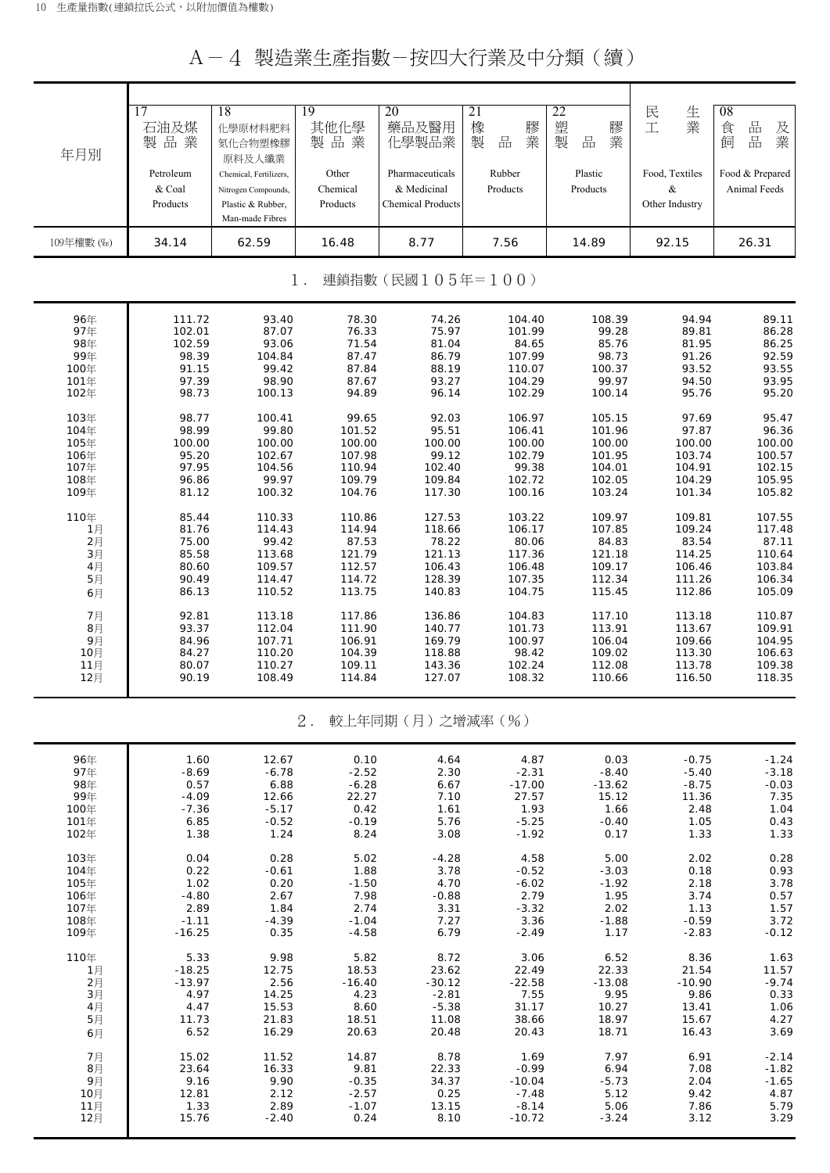## A-4 製造業生產指數-按四大行業及中分類(續)

| 年月別        | 17<br>石油及煤<br>製品業<br>Petroleum<br>& Coal<br>Products | 18<br>化學原材料肥料<br>氮化合物塑橡膠<br>原料及人纖業<br>Chemical, Fertilizers,<br>Nitrogen Compounds,<br>Plastic & Rubber,<br>Man-made Fibres | 19<br>其他化學<br>製品業<br>Other<br>Chemical<br>Products | 20<br>藥品及醫用<br>化學製品業<br>Pharmaceuticals<br>& Medicinal<br><b>Chemical Products</b> | 21<br>橡<br>膠<br>業<br>製<br>品<br>Rubber<br>Products | 22<br>塑製<br>膠業<br>品<br>Plastic<br>Products | 民工<br>生業<br>Food, Textiles<br>&<br>Other Industry | 08<br>食<br>$\frac{\Box}{\Box \Box}$<br>及業<br>品<br>飼<br>Food & Prepared<br>Animal Feeds |
|------------|------------------------------------------------------|-----------------------------------------------------------------------------------------------------------------------------|----------------------------------------------------|------------------------------------------------------------------------------------|---------------------------------------------------|--------------------------------------------|---------------------------------------------------|----------------------------------------------------------------------------------------|
| 109年權數 (‰) | 34.14                                                | 62.59                                                                                                                       | 16.48                                              | 8.77                                                                               | 7.56                                              | 14.89                                      | 92.15                                             | 26.31                                                                                  |
|            |                                                      |                                                                                                                             | $1$ .                                              | 連鎖指數(民國105年=100)                                                                   |                                                   |                                            |                                                   |                                                                                        |
| 96年        | 111.72                                               | 93.40                                                                                                                       | 78.30                                              | 74.26                                                                              | 104.40                                            | 108.39                                     | 94.94                                             | 89.11                                                                                  |
| 97年        | 102.01                                               | 87.07                                                                                                                       | 76.33                                              | 75.97                                                                              | 101.99                                            | 99.28                                      | 89.81                                             | 86.28                                                                                  |
| 98年        | 102.59                                               | 93.06                                                                                                                       | 71.54                                              | 81.04                                                                              | 84.65                                             | 85.76                                      | 81.95                                             | 86.25                                                                                  |
| 99年        | 98.39                                                | 104.84                                                                                                                      | 87.47                                              | 86.79                                                                              | 107.99                                            | 98.73                                      | 91.26                                             | 92.59                                                                                  |
| 100年       | 91.15                                                | 99.42                                                                                                                       | 87.84                                              | 88.19                                                                              | 110.07                                            | 100.37                                     | 93.52                                             | 93.55                                                                                  |
| 101年       | 97.39                                                | 98.90                                                                                                                       | 87.67                                              | 93.27                                                                              | 104.29                                            | 99.97                                      | 94.50                                             | 93.95                                                                                  |
| 102年       | 98.73                                                | 100.13                                                                                                                      | 94.89                                              | 96.14                                                                              | 102.29                                            | 100.14                                     | 95.76                                             | 95.20                                                                                  |
| 103年       | 98.77                                                | 100.41                                                                                                                      | 99.65                                              | 92.03                                                                              | 106.97                                            | 105.15                                     | 97.69                                             | 95.47                                                                                  |
| 104年       | 98.99                                                | 99.80                                                                                                                       | 101.52                                             | 95.51                                                                              | 106.41                                            | 101.96                                     | 97.87                                             | 96.36                                                                                  |
| 105年       | 100.00                                               | 100.00                                                                                                                      | 100.00                                             | 100.00                                                                             | 100.00                                            | 100.00                                     | 100.00                                            | 100.00                                                                                 |
| 106年       | 95.20                                                | 102.67                                                                                                                      | 107.98                                             | 99.12                                                                              | 102.79                                            | 101.95                                     | 103.74                                            | 100.57                                                                                 |
| 107年       | 97.95                                                | 104.56                                                                                                                      | 110.94                                             | 102.40                                                                             | 99.38                                             | 104.01                                     | 104.91                                            | 102.15                                                                                 |
| 108年       | 96.86                                                | 99.97                                                                                                                       | 109.79                                             | 109.84                                                                             | 102.72                                            | 102.05                                     | 104.29                                            | 105.95                                                                                 |
| 109年       | 81.12                                                | 100.32                                                                                                                      | 104.76                                             | 117.30                                                                             | 100.16                                            | 103.24                                     | 101.34                                            | 105.82                                                                                 |
| 110年       | 85.44                                                | 110.33                                                                                                                      | 110.86                                             | 127.53                                                                             | 103.22                                            | 109.97                                     | 109.81                                            | 107.55                                                                                 |
| 1月         | 81.76                                                | 114.43                                                                                                                      | 114.94                                             | 118.66                                                                             | 106.17                                            | 107.85                                     | 109.24                                            | 117.48                                                                                 |
| 2月         | 75.00                                                | 99.42                                                                                                                       | 87.53                                              | 78.22                                                                              | 80.06                                             | 84.83                                      | 83.54                                             | 87.11                                                                                  |
| 3月         | 85.58                                                | 113.68                                                                                                                      | 121.79                                             | 121.13                                                                             | 117.36                                            | 121.18                                     | 114.25                                            | 110.64                                                                                 |
| 4月         | 80.60                                                | 109.57                                                                                                                      | 112.57                                             | 106.43                                                                             | 106.48                                            | 109.17                                     | 106.46                                            | 103.84                                                                                 |
| 5月         | 90.49                                                | 114.47                                                                                                                      | 114.72                                             | 128.39                                                                             | 107.35                                            | 112.34                                     | 111.26                                            | 106.34                                                                                 |
| 6月         | 86.13                                                | 110.52                                                                                                                      | 113.75                                             | 140.83                                                                             | 104.75                                            | 115.45                                     | 112.86                                            | 105.09                                                                                 |
| 7月         | 92.81                                                | 113.18                                                                                                                      | 117.86                                             | 136.86                                                                             | 104.83                                            | 117.10                                     | 113.18                                            | 110.87                                                                                 |
| 8月         | 93.37                                                | 112.04                                                                                                                      | 111.90                                             | 140.77                                                                             | 101.73                                            | 113.91                                     | 113.67                                            | 109.91                                                                                 |
| 9月         | 84.96                                                | 107.71                                                                                                                      | 106.91                                             | 169.79                                                                             | 100.97                                            | 106.04                                     | 109.66                                            | 104.95                                                                                 |
| 10月        | 84.27                                                | 110.20                                                                                                                      | 104.39                                             | 118.88                                                                             | 98.42                                             | 109.02                                     | 113.30                                            | 106.63                                                                                 |
| 11月        | 80.07                                                | 110.27                                                                                                                      | 109.11                                             | 143.36                                                                             | 102.24                                            | 112.08                                     | 113.78                                            | 109.38                                                                                 |
| 12月        | 90.19                                                | 108.49                                                                                                                      | 114.84                                             | 127.07                                                                             | 108.32                                            | 110.66                                     | 116.50                                            | 118.35                                                                                 |
|            |                                                      |                                                                                                                             | $2$ .                                              | 較上年同期 (月) 之增減率 (%)                                                                 |                                                   |                                            |                                                   |                                                                                        |
| 96年        | 1.60                                                 | 12.67                                                                                                                       | 0.10                                               | 4.64                                                                               | 4.87                                              | 0.03                                       | $-0.75$                                           | $-1.24$                                                                                |
| 97年        | $-8.69$                                              | $-6.78$                                                                                                                     | $-2.52$                                            | 2.30                                                                               | $-2.31$                                           | $-8.40$                                    | $-5.40$                                           | $-3.18$                                                                                |
| 98年        | 0.57                                                 | 6.88                                                                                                                        | $-6.28$                                            | 6.67                                                                               | $-17.00$                                          | $-13.62$                                   | $-8.75$                                           | $-0.03$                                                                                |
| 99年        | $-4.09$                                              | 12.66                                                                                                                       | 22.27                                              | 7.10                                                                               | 27.57                                             | 15.12                                      | 11.36                                             | 7.35                                                                                   |
| 100年       | $-7.36$                                              | $-5.17$                                                                                                                     | 0.42                                               | 1.61                                                                               | 1.93                                              | 1.66                                       | 2.48                                              | 1.04                                                                                   |
| 101年       | 6.85                                                 | $-0.52$                                                                                                                     | $-0.19$                                            | 5.76                                                                               | $-5.25$                                           | $-0.40$                                    | 1.05                                              | 0.43                                                                                   |
| 102年       | 1.38                                                 | 1.24                                                                                                                        | 8.24                                               | 3.08                                                                               | $-1.92$                                           | 0.17                                       | 1.33                                              | 1.33                                                                                   |
| 103年       | 0.04                                                 | 0.28                                                                                                                        | 5.02                                               | $-4.28$                                                                            | 4.58                                              | 5.00                                       | 2.02                                              | 0.28                                                                                   |
| 104年       | 0.22                                                 | $-0.61$                                                                                                                     | 1.88                                               | 3.78                                                                               | $-0.52$                                           | $-3.03$                                    | 0.18                                              | 0.93                                                                                   |
| 105年       | 1.02                                                 | 0.20                                                                                                                        | $-1.50$                                            | 4.70                                                                               | $-6.02$                                           | $-1.92$                                    | 2.18                                              | 3.78                                                                                   |
| 106年       | $-4.80$                                              | 2.67                                                                                                                        | 7.98                                               | $-0.88$                                                                            | 2.79                                              | 1.95                                       | 3.74                                              | 0.57                                                                                   |
| 107年       | 2.89                                                 | 1.84                                                                                                                        | 2.74                                               | 3.31                                                                               | $-3.32$                                           | 2.02                                       | 1.13                                              | 1.57                                                                                   |
| 108年       | $-1.11$                                              | $-4.39$                                                                                                                     | $-1.04$                                            | 7.27                                                                               | 3.36                                              | $-1.88$                                    | $-0.59$                                           | 3.72                                                                                   |
| 109年       | $-16.25$                                             | 0.35                                                                                                                        | $-4.58$                                            | 6.79                                                                               | $-2.49$                                           | 1.17                                       | $-2.83$                                           | $-0.12$                                                                                |
| 110年       | 5.33                                                 | 9.98                                                                                                                        | 5.82                                               | 8.72                                                                               | 3.06                                              | 6.52                                       | 8.36                                              | 1.63                                                                                   |
| 1月         | $-18.25$                                             | 12.75                                                                                                                       | 18.53                                              | 23.62                                                                              | 22.49                                             | 22.33                                      | 21.54                                             | 11.57                                                                                  |
| 2月         | $-13.97$                                             | 2.56                                                                                                                        | $-16.40$                                           | $-30.12$                                                                           | $-22.58$                                          | $-13.08$                                   | $-10.90$                                          | $-9.74$                                                                                |
| 3月         | 4.97                                                 | 14.25                                                                                                                       | 4.23                                               | $-2.81$                                                                            | 7.55                                              | 9.95                                       | 9.86                                              | 0.33                                                                                   |
| 4月         | 4.47                                                 | 15.53                                                                                                                       | 8.60                                               | $-5.38$                                                                            | 31.17                                             | 10.27                                      | 13.41                                             | 1.06                                                                                   |
| 5月         | 11.73                                                | 21.83                                                                                                                       | 18.51                                              | 11.08                                                                              | 38.66                                             | 18.97                                      | 15.67                                             | 4.27                                                                                   |
| 6月         | 6.52                                                 | 16.29                                                                                                                       | 20.63                                              | 20.48                                                                              | 20.43                                             | 18.71                                      | 16.43                                             | 3.69                                                                                   |
| 7月         | 15.02                                                | 11.52                                                                                                                       | 14.87                                              | 8.78                                                                               | 1.69                                              | 7.97                                       | 6.91                                              | $-2.14$                                                                                |
| 8月         | 23.64                                                | 16.33                                                                                                                       | 9.81                                               | 22.33                                                                              | $-0.99$                                           | 6.94                                       | 7.08                                              | $-1.82$                                                                                |
| 9月         | 9.16                                                 | 9.90                                                                                                                        | $-0.35$                                            | 34.37                                                                              | $-10.04$                                          | $-5.73$                                    | 2.04                                              | $-1.65$                                                                                |
| 10月        | 12.81                                                | 2.12                                                                                                                        | $-2.57$                                            | 0.25                                                                               | $-7.48$                                           | 5.12                                       | 9.42                                              | 4.87                                                                                   |
| 11月        | 1.33                                                 | 2.89                                                                                                                        | $-1.07$                                            | 13.15                                                                              | $-8.14$                                           | 5.06                                       | 7.86                                              | 5.79                                                                                   |
| 12月        | 15.76                                                | $-2.40$                                                                                                                     | 0.24                                               | 8.10                                                                               | $-10.72$                                          | $-3.24$                                    | 3.12                                              | 3.29                                                                                   |